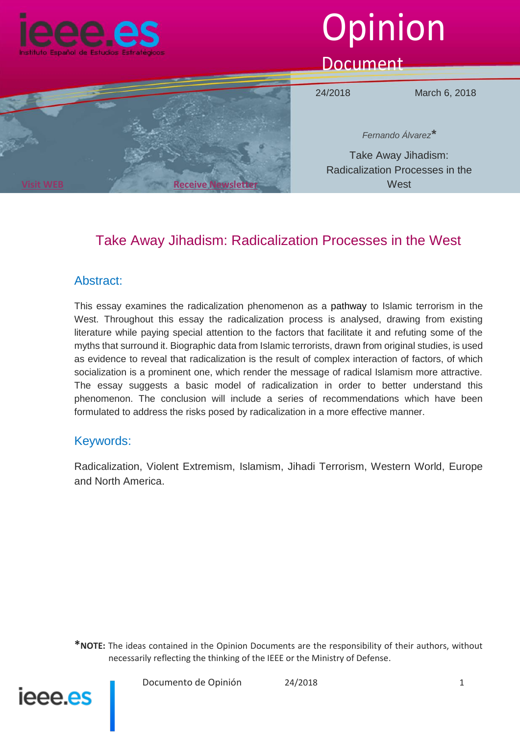

# Opinion

## Document

24/2018 March 6, 2018

*Fernando Álvarez\**

Take Away Jihadism: Radicalization Processes in the **West** 

### Take Away Jihadism: Radicalization Processes in the West

#### Abstract:

**Visit [WEB](http://www.ieee.es/) Receive Newslet** 

This essay examines the radicalization phenomenon as a pathway to Islamic terrorism in the West. Throughout this essay the radicalization process is analysed, drawing from existing literature while paying special attention to the factors that facilitate it and refuting some of the myths that surround it. Biographic data from Islamic terrorists, drawn from original studies, is used as evidence to reveal that radicalization is the result of complex interaction of factors, of which socialization is a prominent one, which render the message of radical Islamism more attractive. The essay suggests a basic model of radicalization in order to better understand this phenomenon. The conclusion will include a series of recommendations which have been formulated to address the risks posed by radicalization in a more effective manner.

#### Keywords:

Radicalization, Violent Extremism, Islamism, Jihadi Terrorism, Western World, Europe and North America.

**\*NOTE:** The ideas contained in the Opinion Documents are the responsibility of their authors, without necessarily reflecting the thinking of the IEEE or the Ministry of Defense.

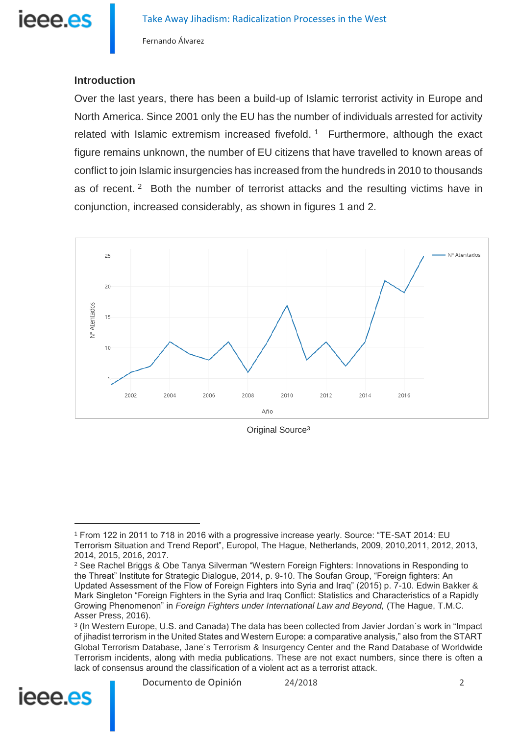

#### **Introduction**

Over the last years, there has been a build-up of Islamic terrorist activity in Europe and North America. Since 2001 only the EU has the number of individuals arrested for activity related with Islamic extremism increased fivefold. 1 Furthermore, although the exact figure remains unknown, the number of EU citizens that have travelled to known areas of conflict to join Islamic insurgencies has increased from the hundreds in 2010 to thousands as of recent.<sup>2</sup> Both the number of terrorist attacks and the resulting victims have in conjunction, increased considerably, as shown in figures 1 and 2.



Original Source<sup>3</sup>

<sup>3</sup> (In Western Europe, U.S. and Canada) The data has been collected from Javier Jordan´s work in "Impact of jihadist terrorism in the United States and Western Europe: a comparative analysis," also from the START Global Terrorism Database, Jane´s Terrorism & Insurgency Center and the Rand Database of Worldwide Terrorism incidents, along with media publications. These are not exact numbers, since there is often a lack of consensus around the classification of a violent act as a terrorist attack.





<sup>1</sup> From 122 in 2011 to 718 in 2016 with a progressive increase yearly. Source: "TE-SAT 2014: EU Terrorism Situation and Trend Report", Europol, The Hague, Netherlands, 2009, 2010,2011, 2012, 2013, 2014, 2015, 2016, 2017.

<sup>2</sup> See Rachel Briggs & Obe Tanya Silverman "Western Foreign Fighters: Innovations in Responding to the Threat" Institute for Strategic Dialogue, 2014, p. 9-10. The Soufan Group, "Foreign fighters: An Updated Assessment of the Flow of Foreign Fighters into Syria and Iraq" (2015) p. 7-10. Edwin Bakker & Mark Singleton "Foreign Fighters in the Syria and Iraq Conflict: Statistics and Characteristics of a Rapidly Growing Phenomenon" in *Foreign Fighters under International Law and Beyond,* (The Hague, T.M.C. Asser Press, 2016).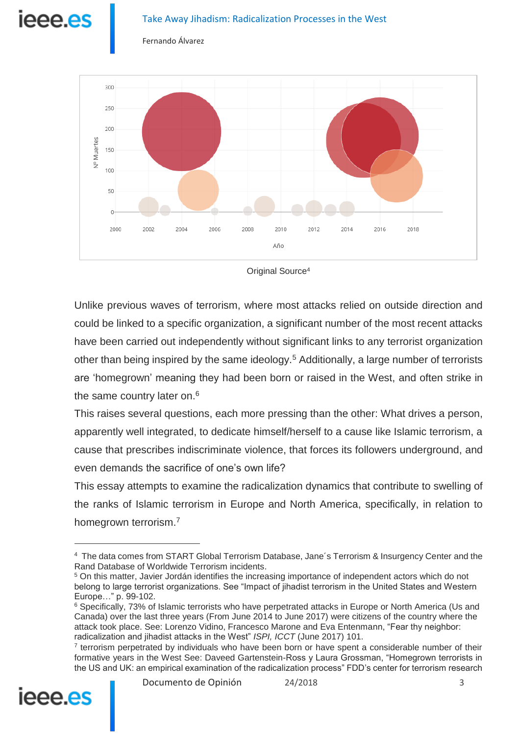



Original Source<sup>4</sup>

Unlike previous waves of terrorism, where most attacks relied on outside direction and could be linked to a specific organization, a significant number of the most recent attacks have been carried out independently without significant links to any terrorist organization other than being inspired by the same ideology.<sup>5</sup> Additionally, a large number of terrorists are 'homegrown' meaning they had been born or raised in the West, and often strike in the same country later on.<sup>6</sup>

This raises several questions, each more pressing than the other: What drives a person, apparently well integrated, to dedicate himself/herself to a cause like Islamic terrorism, a cause that prescribes indiscriminate violence, that forces its followers underground, and even demands the sacrifice of one's own life?

This essay attempts to examine the radicalization dynamics that contribute to swelling of the ranks of Islamic terrorism in Europe and North America, specifically, in relation to homegrown terrorism. 7

<sup>&</sup>lt;sup>7</sup> terrorism perpetrated by individuals who have been born or have spent a considerable number of their formative years in the West See: Daveed Gartenstein-Ross y Laura Grossman, "Homegrown terrorists in the US and UK: an empirical examination of the radicalization process" FDD's center for terrorism research



<sup>4</sup> The data comes from START Global Terrorism Database, Jane´s Terrorism & Insurgency Center and the Rand Database of Worldwide Terrorism incidents.

<sup>5</sup> On this matter, Javier Jordán identifies the increasing importance of independent actors which do not belong to large terrorist organizations. See "Impact of jihadist terrorism in the United States and Western Europe…" p. 99-102.

<sup>&</sup>lt;sup>6</sup> Specifically, 73% of Islamic terrorists who have perpetrated attacks in Europe or North America (Us and Canada) over the last three years (From June 2014 to June 2017) were citizens of the country where the attack took place. See: Lorenzo Vidino, Francesco Marone and Eva Entenmann, "Fear thy neighbor: radicalization and jihadist attacks in the West" *ISPI, ICCT* (June 2017) 101.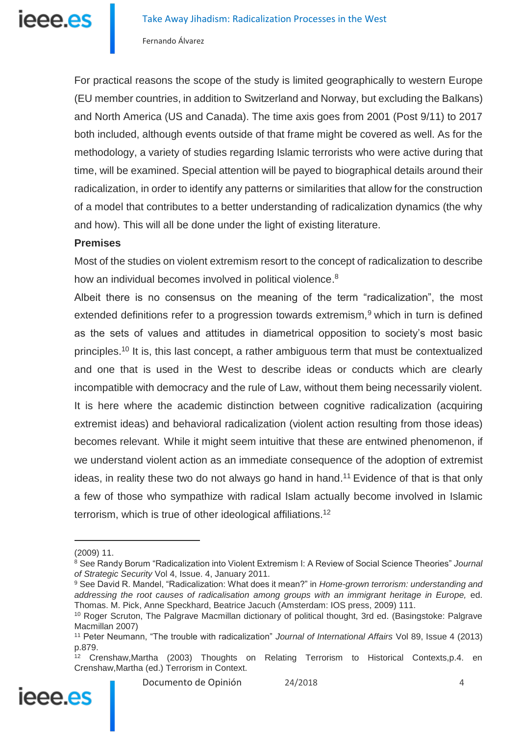For practical reasons the scope of the study is limited geographically to western Europe (EU member countries, in addition to Switzerland and Norway, but excluding the Balkans) and North America (US and Canada). The time axis goes from 2001 (Post 9/11) to 2017 both included, although events outside of that frame might be covered as well. As for the methodology, a variety of studies regarding Islamic terrorists who were active during that time, will be examined. Special attention will be payed to biographical details around their radicalization, in order to identify any patterns or similarities that allow for the construction of a model that contributes to a better understanding of radicalization dynamics (the why and how). This will all be done under the light of existing literature.

#### **Premises**

Most of the studies on violent extremism resort to the concept of radicalization to describe how an individual becomes involved in political violence.<sup>8</sup>

Albeit there is no consensus on the meaning of the term "radicalization", the most extended definitions refer to a progression towards extremism,  $9$  which in turn is defined as the sets of values and attitudes in diametrical opposition to society's most basic principles.<sup>10</sup> It is, this last concept, a rather ambiguous term that must be contextualized and one that is used in the West to describe ideas or conducts which are clearly incompatible with democracy and the rule of Law, without them being necessarily violent. It is here where the academic distinction between cognitive radicalization (acquiring extremist ideas) and behavioral radicalization (violent action resulting from those ideas) becomes relevant. While it might seem intuitive that these are entwined phenomenon, if we understand violent action as an immediate consequence of the adoption of extremist ideas, in reality these two do not always go hand in hand.<sup>11</sup> Evidence of that is that only a few of those who sympathize with radical Islam actually become involved in Islamic terrorism, which is true of other ideological affiliations.<sup>12</sup>

<sup>&</sup>lt;sup>12</sup> Crenshaw, Martha (2003) Thoughts on Relating Terrorism to Historical Contexts, p.4. en Crenshaw,Martha (ed.) Terrorism in Context.



<sup>(2009) 11.</sup>

<sup>8</sup> See Randy Borum "Radicalization into Violent Extremism I: A Review of Social Science Theories" *Journal of Strategic Security* Vol 4, Issue. 4, January 2011.

<sup>9</sup> See David R. Mandel, "Radicalization: What does it mean?" in *Home-grown terrorism: understanding and addressing the root causes of radicalisation among groups with an immigrant heritage in Europe,* ed. Thomas. M. Pick, Anne Speckhard, Beatrice Jacuch (Amsterdam: IOS press, 2009) 111.

<sup>&</sup>lt;sup>10</sup> Roger Scruton, The Palgrave Macmillan dictionary of political thought, 3rd ed. (Basingstoke: Palgrave Macmillan 2007)

<sup>11</sup> Peter Neumann, "The trouble with radicalization" *Journal of International Affairs* Vol 89, Issue 4 (2013) p.879.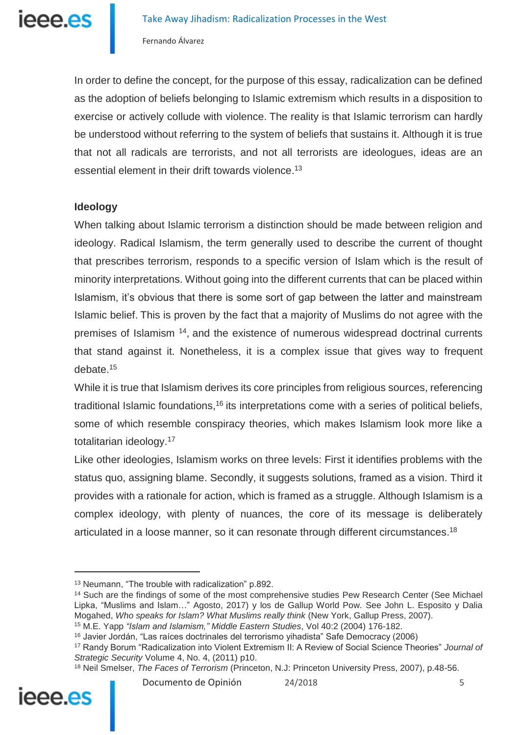

In order to define the concept, for the purpose of this essay, radicalization can be defined as the adoption of beliefs belonging to Islamic extremism which results in a disposition to exercise or actively collude with violence. The reality is that Islamic terrorism can hardly be understood without referring to the system of beliefs that sustains it. Although it is true that not all radicals are terrorists, and not all terrorists are ideologues, ideas are an essential element in their drift towards violence.<sup>13</sup>

#### **Ideology**

When talking about Islamic terrorism a distinction should be made between religion and ideology. Radical Islamism, the term generally used to describe the current of thought that prescribes terrorism, responds to a specific version of Islam which is the result of minority interpretations. Without going into the different currents that can be placed within Islamism, it's obvious that there is some sort of gap between the latter and mainstream Islamic belief. This is proven by the fact that a majority of Muslims do not agree with the premises of Islamism<sup>14</sup>, and the existence of numerous widespread doctrinal currents that stand against it. Nonetheless, it is a complex issue that gives way to frequent debate. 15

While it is true that Islamism derives its core principles from religious sources, referencing traditional Islamic foundations,<sup>16</sup> its interpretations come with a series of political beliefs, some of which resemble conspiracy theories, which makes Islamism look more like a totalitarian ideology. 17

Like other ideologies, Islamism works on three levels: First it identifies problems with the status quo, assigning blame. Secondly, it suggests solutions, framed as a vision. Third it provides with a rationale for action, which is framed as a struggle. Although Islamism is a complex ideology, with plenty of nuances, the core of its message is deliberately articulated in a loose manner, so it can resonate through different circumstances.<sup>18</sup>



<sup>13</sup> Neumann, "The trouble with radicalization" p.892.

<sup>&</sup>lt;sup>14</sup> Such are the findings of some of the most comprehensive studies Pew Research Center (See Michael Lipka, "Muslims and Islam…" Agosto, 2017) y los de Gallup World Pow. See John L. Esposito y Dalia Mogahed, *Who speaks for Islam? What Muslims really think* (New York, Gallup Press, 2007). <sup>15</sup> M.E. Yapp *"Islam and Islamism," Middle Eastern Studies*, Vol 40:2 (2004) 176-182.

<sup>16</sup> Javier Jordán, "Las raíces doctrinales del terrorismo yihadista" Safe Democracy (2006)

<sup>17</sup> Randy Borum "Radicalization into Violent Extremism II: A Review of Social Science Theories" *Journal of Strategic Security* Volume 4, No. 4, (2011) p10.

<sup>18</sup> Neil Smelser, *The Faces of Terrorism* (Princeton, N.J: Princeton University Press, 2007), p.48-56.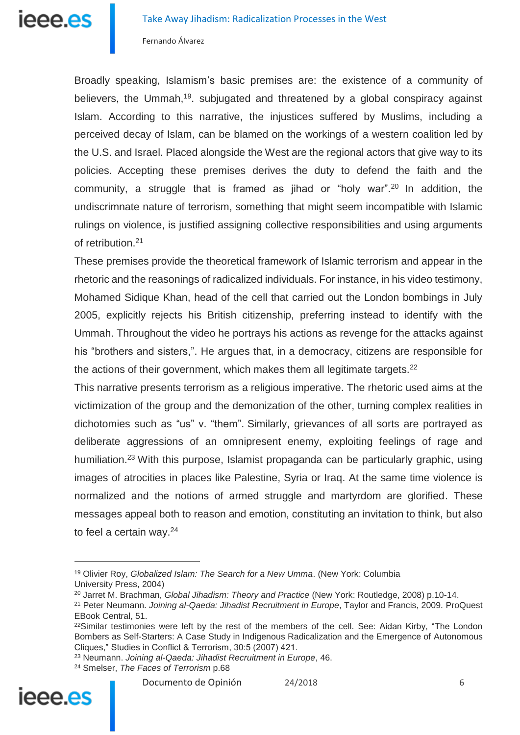# leee.es

Fernando Álvarez

Broadly speaking, Islamism's basic premises are: the existence of a community of believers, the Ummah,<sup>19</sup>. subjugated and threatened by a global conspiracy against Islam. According to this narrative, the injustices suffered by Muslims, including a perceived decay of Islam, can be blamed on the workings of a western coalition led by the U.S. and Israel. Placed alongside the West are the regional actors that give way to its policies. Accepting these premises derives the duty to defend the faith and the community, a struggle that is framed as jihad or "holy war".<sup>20</sup> In addition, the undiscrimnate nature of terrorism, something that might seem incompatible with Islamic rulings on violence, is justified assigning collective responsibilities and using arguments of retribution. 21

These premises provide the theoretical framework of Islamic terrorism and appear in the rhetoric and the reasonings of radicalized individuals. For instance, in his video testimony, Mohamed Sidique Khan, head of the cell that carried out the London bombings in July 2005, explicitly rejects his British citizenship, preferring instead to identify with the Ummah. Throughout the video he portrays his actions as revenge for the attacks against his "brothers and sisters,". He argues that, in a democracy, citizens are responsible for the actions of their government, which makes them all legitimate targets.<sup>22</sup>

This narrative presents terrorism as a religious imperative. The rhetoric used aims at the victimization of the group and the demonization of the other, turning complex realities in dichotomies such as "us" v. "them". Similarly, grievances of all sorts are portrayed as deliberate aggressions of an omnipresent enemy, exploiting feelings of rage and humiliation.<sup>23</sup> With this purpose, Islamist propaganda can be particularly graphic, using images of atrocities in places like Palestine, Syria or Iraq. At the same time violence is normalized and the notions of armed struggle and martyrdom are glorified. These messages appeal both to reason and emotion, constituting an invitation to think, but also to feel a certain way.<sup>24</sup>

<sup>24</sup> Smelser, *The Faces of Terrorism* p.68



<sup>19</sup> Olivier Roy, *Globalized Islam: The Search for a New Umma*. (New York: Columbia University Press, 2004)

<sup>20</sup> Jarret M. Brachman, *Global Jihadism: Theory and Practice* (New York: Routledge, 2008) p.10-14.

<sup>21</sup> Peter Neumann. *Joining al-Qaeda: Jihadist Recruitment in Europe*, Taylor and Francis, 2009. ProQuest EBook Central, 51.

<sup>&</sup>lt;sup>22</sup>Similar testimonies were left by the rest of the members of the cell. See: Aidan Kirby, "The London Bombers as Self-Starters: A Case Study in Indigenous Radicalization and the Emergence of Autonomous Cliques," Studies in Conflict & Terrorism, 30:5 (2007) 421.

<sup>23</sup> Neumann. *Joining al-Qaeda: Jihadist Recruitment in Europe*, 46.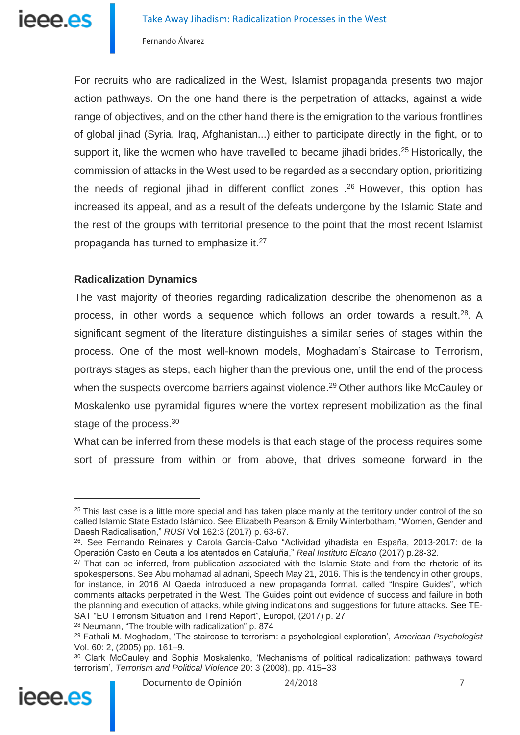For recruits who are radicalized in the West, Islamist propaganda presents two major action pathways. On the one hand there is the perpetration of attacks, against a wide range of objectives, and on the other hand there is the emigration to the various frontlines of global jihad (Syria, Iraq, Afghanistan...) either to participate directly in the fight, or to support it, like the women who have travelled to became jihadi brides.<sup>25</sup> Historically, the commission of attacks in the West used to be regarded as a secondary option, prioritizing the needs of regional jihad in different conflict zones . <sup>26</sup> However, this option has increased its appeal, and as a result of the defeats undergone by the Islamic State and the rest of the groups with territorial presence to the point that the most recent Islamist propaganda has turned to emphasize it. 27

#### **Radicalization Dynamics**

The vast majority of theories regarding radicalization describe the phenomenon as a process, in other words a sequence which follows an order towards a result.<sup>28</sup>. A significant segment of the literature distinguishes a similar series of stages within the process. One of the most well-known models, Moghadam's Staircase to Terrorism, portrays stages as steps, each higher than the previous one, until the end of the process when the suspects overcome barriers against violence.<sup>29</sup> Other authors like McCauley or Moskalenko use pyramidal figures where the vortex represent mobilization as the final stage of the process.<sup>30</sup>

What can be inferred from these models is that each stage of the process requires some sort of pressure from within or from above, that drives someone forward in the

<sup>28</sup> Neumann, "The trouble with radicalization" p. 874

<sup>30</sup> Clark McCauley and Sophia Moskalenko, 'Mechanisms of political radicalization: pathways toward terrorism', *Terrorism and Political Violence* 20: 3 (2008), pp. 415–33



<sup>&</sup>lt;sup>25</sup> This last case is a little more special and has taken place mainly at the territory under control of the so called Islamic State Estado Islámico. See Elizabeth Pearson & Emily Winterbotham, "Women, Gender and Daesh Radicalisation," *RUSI* Vol 162:3 (2017) p. 63-67.

<sup>26</sup> . See Fernando Reinares y Carola García-Calvo "Actividad yihadista en España, 2013-2017: de la Operación Cesto en Ceuta a los atentados en Cataluña," *Real Instituto Elcano* (2017) p.28-32.

<sup>&</sup>lt;sup>27</sup> That can be inferred, from publication associated with the Islamic State and from the rhetoric of its spokespersons. See Abu mohamad al adnani, Speech May 21, 2016. This is the tendency in other groups, for instance, in 2016 Al Qaeda introduced a new propaganda format, called "Inspire Guides", which comments attacks perpetrated in the West. The Guides point out evidence of success and failure in both the planning and execution of attacks, while giving indications and suggestions for future attacks. See TE-SAT "EU Terrorism Situation and Trend Report", Europol, (2017) p. 27

<sup>29</sup> Fathali M. Moghadam, 'The staircase to terrorism: a psychological exploration', *American Psychologist* Vol. 60: 2, (2005) pp. 161–9.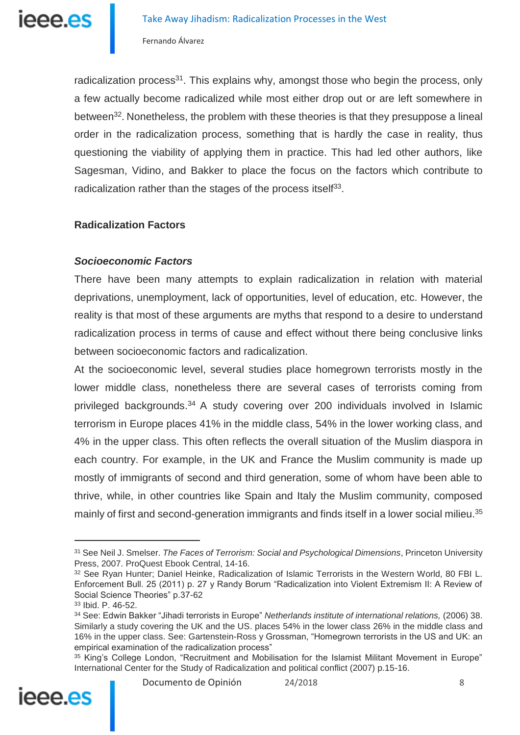

radicalization process<sup>31</sup>. This explains why, amongst those who begin the process, only a few actually become radicalized while most either drop out or are left somewhere in between<sup>32</sup>. Nonetheless, the problem with these theories is that they presuppose a lineal order in the radicalization process, something that is hardly the case in reality, thus questioning the viability of applying them in practice. This had led other authors, like Sagesman, Vidino, and Bakker to place the focus on the factors which contribute to radicalization rather than the stages of the process itself $^{33}$ .

#### **Radicalization Factors**

#### *Socioeconomic Factors*

There have been many attempts to explain radicalization in relation with material deprivations, unemployment, lack of opportunities, level of education, etc. However, the reality is that most of these arguments are myths that respond to a desire to understand radicalization process in terms of cause and effect without there being conclusive links between socioeconomic factors and radicalization.

At the socioeconomic level, several studies place homegrown terrorists mostly in the lower middle class, nonetheless there are several cases of terrorists coming from privileged backgrounds. <sup>34</sup> A study covering over 200 individuals involved in Islamic terrorism in Europe places 41% in the middle class, 54% in the lower working class, and 4% in the upper class. This often reflects the overall situation of the Muslim diaspora in each country. For example, in the UK and France the Muslim community is made up mostly of immigrants of second and third generation, some of whom have been able to thrive, while, in other countries like Spain and Italy the Muslim community, composed mainly of first and second-generation immigrants and finds itself in a lower social milieu.<sup>35</sup>

<sup>&</sup>lt;sup>35</sup> King's College London, "Recruitment and Mobilisation for the Islamist Militant Movement in Europe" International Center for the Study of Radicalization and political conflict (2007) p.15-16.



<sup>31</sup> See Neil J. Smelser. *The Faces of Terrorism: Social and Psychological Dimensions*, Princeton University Press, 2007. ProQuest Ebook Central, 14-16.

<sup>32</sup> See Ryan Hunter; Daniel Heinke, Radicalization of Islamic Terrorists in the Western World, 80 FBI L. Enforcement Bull. 25 (2011) p. 27 y Randy Borum "Radicalization into Violent Extremism II: A Review of Social Science Theories" p.37-62

<sup>33</sup> Ibid. P. 46-52.

<sup>34</sup> See: Edwin Bakker "Jihadi terrorists in Europe" *Netherlands institute of international relations,* (2006) 38. Similarly a study covering the UK and the US. places 54% in the lower class 26% in the middle class and 16% in the upper class. See: Gartenstein-Ross y Grossman, "Homegrown terrorists in the US and UK: an empirical examination of the radicalization process"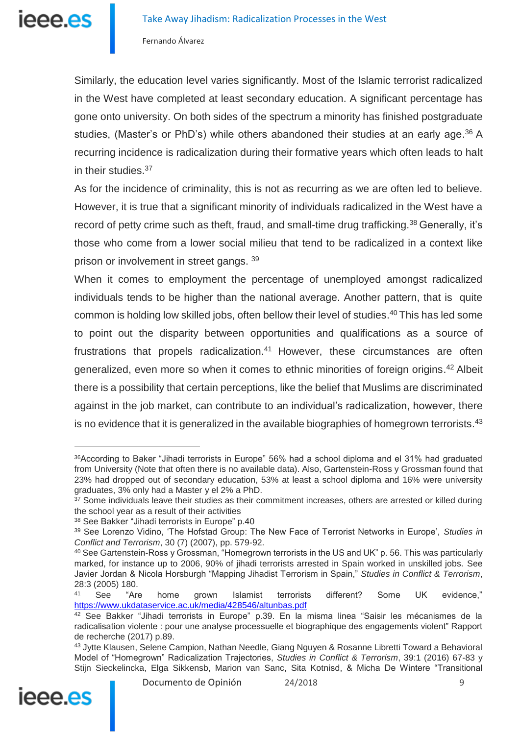

Similarly, the education level varies significantly. Most of the Islamic terrorist radicalized in the West have completed at least secondary education. A significant percentage has gone onto university. On both sides of the spectrum a minority has finished postgraduate studies, (Master's or PhD's) while others abandoned their studies at an early age. <sup>36</sup> A recurring incidence is radicalization during their formative years which often leads to halt in their studies. 37

As for the incidence of criminality, this is not as recurring as we are often led to believe. However, it is true that a significant minority of individuals radicalized in the West have a record of petty crime such as theft, fraud, and small-time drug trafficking.<sup>38</sup> Generally, it's those who come from a lower social milieu that tend to be radicalized in a context like prison or involvement in street gangs. 39

When it comes to employment the percentage of unemployed amongst radicalized individuals tends to be higher than the national average. Another pattern, that is quite common is holding low skilled jobs, often bellow their level of studies. <sup>40</sup> This has led some to point out the disparity between opportunities and qualifications as a source of frustrations that propels radicalization. <sup>41</sup> However, these circumstances are often generalized, even more so when it comes to ethnic minorities of foreign origins. <sup>42</sup> Albeit there is a possibility that certain perceptions, like the belief that Muslims are discriminated against in the job market, can contribute to an individual's radicalization, however, there is no evidence that it is generalized in the available biographies of homegrown terrorists.<sup>43</sup>

<sup>43</sup> Jytte Klausen, Selene Campion, Nathan Needle, Giang Nguyen & Rosanne Libretti Toward a Behavioral Model of "Homegrown" Radicalization Trajectories, *Studies in Conflict & Terrorism*, 39:1 (2016) 67-83 y Stijn Sieckelincka, Elga Sikkensb, Marion van Sanc, Sita Kotnisd, & Micha De Wintere "Transitional



<sup>36</sup>According to Baker "Jihadi terrorists in Europe" 56% had a school diploma and el 31% had graduated from University (Note that often there is no available data). Also, Gartenstein-Ross y Grossman found that 23% had dropped out of secondary education, 53% at least a school diploma and 16% were university graduates, 3% only had a Master y el 2% a PhD.

<sup>37</sup> Some individuals leave their studies as their commitment increases, others are arrested or killed during the school year as a result of their activities

<sup>38</sup> See Bakker "Jihadi terrorists in Europe" p.40

<sup>39</sup> See Lorenzo Vidino, 'The Hofstad Group: The New Face of Terrorist Networks in Europe', *Studies in Conflict and Terrorism*, 30 (7) (2007), pp. 579-92.

<sup>40</sup> See Gartenstein-Ross y Grossman, "Homegrown terrorists in the US and UK" p. 56. This was particularly marked, for instance up to 2006, 90% of jihadi terrorists arrested in Spain worked in unskilled jobs. See Javier Jordan & Nicola Horsburgh "Mapping Jihadist Terrorism in Spain," *Studies in Conflict & Terrorism*, 28:3 (2005) 180.

<sup>41</sup> See "Are home grown Islamist terrorists different? Some UK evidence," <https://www.ukdataservice.ac.uk/media/428546/altunbas.pdf>

<sup>42</sup> See Bakker "Jihadi terrorists in Europe" p.39. En la misma linea "Saisir les mécanismes de la radicalisation violente : pour une analyse processuelle et biographique des engagements violent" Rapport de recherche (2017) p.89.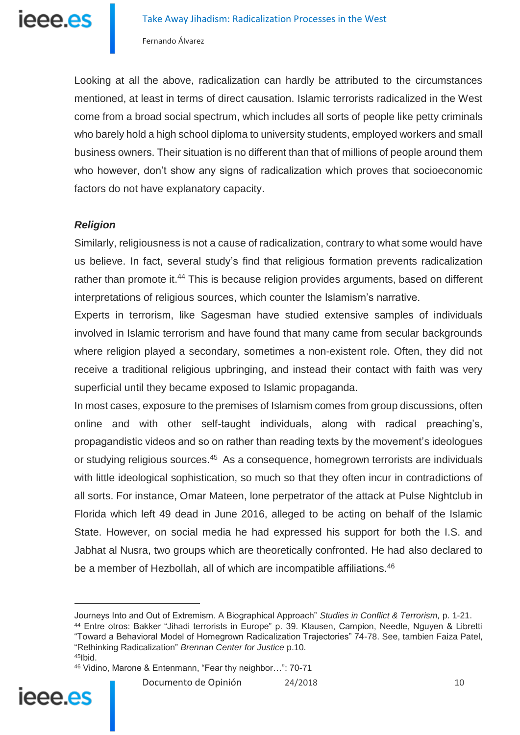

Looking at all the above, radicalization can hardly be attributed to the circumstances mentioned, at least in terms of direct causation. Islamic terrorists radicalized in the West come from a broad social spectrum, which includes all sorts of people like petty criminals who barely hold a high school diploma to university students, employed workers and small business owners. Their situation is no different than that of millions of people around them who however, don't show any signs of radicalization which proves that socioeconomic factors do not have explanatory capacity.

#### *Religion*

Similarly, religiousness is not a cause of radicalization, contrary to what some would have us believe. In fact, several study's find that religious formation prevents radicalization rather than promote it.<sup>44</sup> This is because religion provides arguments, based on different interpretations of religious sources, which counter the Islamism's narrative.

Experts in terrorism, like Sagesman have studied extensive samples of individuals involved in Islamic terrorism and have found that many came from secular backgrounds where religion played a secondary, sometimes a non-existent role. Often, they did not receive a traditional religious upbringing, and instead their contact with faith was very superficial until they became exposed to Islamic propaganda.

In most cases, exposure to the premises of Islamism comes from group discussions, often online and with other self-taught individuals, along with radical preaching's, propagandistic videos and so on rather than reading texts by the movement's ideologues or studying religious sources.<sup>45</sup> As a consequence, homegrown terrorists are individuals with little ideological sophistication, so much so that they often incur in contradictions of all sorts. For instance, Omar Mateen, lone perpetrator of the attack at Pulse Nightclub in Florida which left 49 dead in June 2016, alleged to be acting on behalf of the Islamic State. However, on social media he had expressed his support for both the I.S. and Jabhat al Nusra, two groups which are theoretically confronted. He had also declared to be a member of Hezbollah, all of which are incompatible affiliations.<sup>46</sup>

Journeys Into and Out of Extremism. A Biographical Approach" *Studies in Conflict & Terrorism,* p. 1-21.

<sup>44</sup> Entre otros: Bakker "Jihadi terrorists in Europe" p. 39. Klausen, Campion, Needle, Nguyen & Libretti "Toward a Behavioral Model of Homegrown Radicalization Trajectories" 74-78. See, tambien Faiza Patel, "Rethinking Radicalization" *Brennan Center for Justice* p.10.

<sup>46</sup> Vidino, Marone & Entenmann, "Fear thy neighbor…": 70-71



<sup>45</sup>Ibid.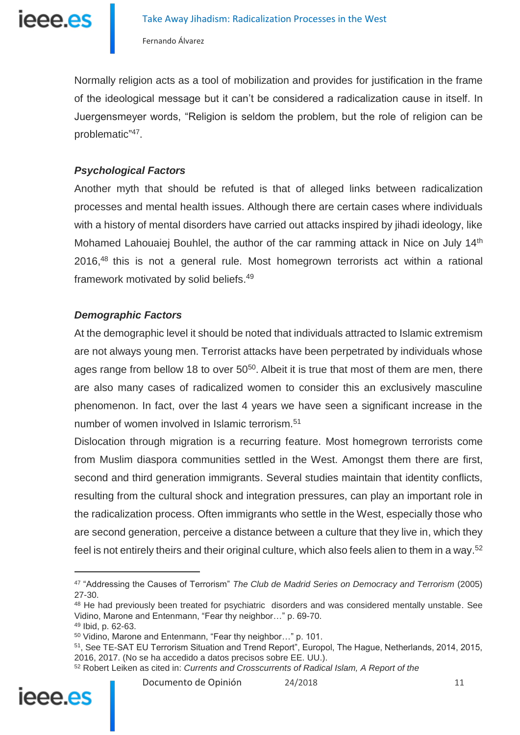

Normally religion acts as a tool of mobilization and provides for justification in the frame of the ideological message but it can't be considered a radicalization cause in itself. In Juergensmeyer words, "Religion is seldom the problem, but the role of religion can be problematic"<sup>47</sup>.

#### *Psychological Factors*

Another myth that should be refuted is that of alleged links between radicalization processes and mental health issues. Although there are certain cases where individuals with a history of mental disorders have carried out attacks inspired by jihadi ideology, like Mohamed Lahouaiej Bouhlel, the author of the car ramming attack in Nice on July 14<sup>th</sup> 2016, <sup>48</sup> this is not a general rule. Most homegrown terrorists act within a rational framework motivated by solid beliefs. 49

#### *Demographic Factors*

At the demographic level it should be noted that individuals attracted to Islamic extremism are not always young men. Terrorist attacks have been perpetrated by individuals whose ages range from bellow 18 to over 50<sup>50</sup>. Albeit it is true that most of them are men, there are also many cases of radicalized women to consider this an exclusively masculine phenomenon. In fact, over the last 4 years we have seen a significant increase in the number of women involved in Islamic terrorism.<sup>51</sup>

Dislocation through migration is a recurring feature. Most homegrown terrorists come from Muslim diaspora communities settled in the West. Amongst them there are first, second and third generation immigrants. Several studies maintain that identity conflicts, resulting from the cultural shock and integration pressures, can play an important role in the radicalization process. Often immigrants who settle in the West, especially those who are second generation, perceive a distance between a culture that they live in, which they feel is not entirely theirs and their original culture, which also feels alien to them in a way.<sup>52</sup>



<sup>47</sup> "Addressing the Causes of Terrorism" *The Club de Madrid Series on Democracy and Terrorism* (2005) 27-30.

<sup>48</sup> He had previously been treated for psychiatric disorders and was considered mentally unstable. See Vidino, Marone and Entenmann, "Fear thy neighbor…" p. 69-70. <sup>49</sup> Ibid, p. 62-63.

<sup>50</sup> Vidino, Marone and Entenmann, "Fear thy neighbor…" p. 101.

<sup>51</sup>, See TE-SAT EU Terrorism Situation and Trend Report", Europol, The Hague, Netherlands, 2014, 2015, 2016, 2017. (No se ha accedido a datos precisos sobre EE. UU.).

<sup>52</sup> Robert Leiken as cited in: *Currents and Crosscurrents of Radical Islam, A Report of the*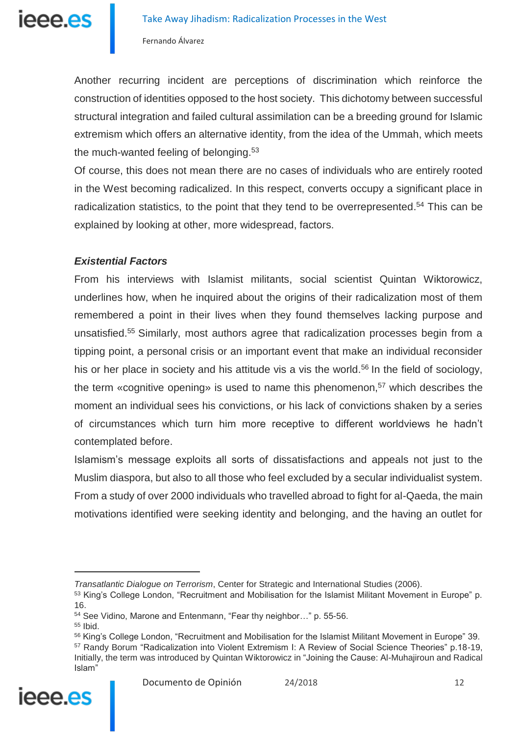

Another recurring incident are perceptions of discrimination which reinforce the construction of identities opposed to the host society. This dichotomy between successful structural integration and failed cultural assimilation can be a breeding ground for Islamic extremism which offers an alternative identity, from the idea of the Ummah, which meets the much-wanted feeling of belonging.<sup>53</sup>

Of course, this does not mean there are no cases of individuals who are entirely rooted in the West becoming radicalized. In this respect, converts occupy a significant place in radicalization statistics, to the point that they tend to be overrepresented.<sup>54</sup> This can be explained by looking at other, more widespread, factors.

#### *Existential Factors*

From his interviews with Islamist militants, social scientist Quintan Wiktorowicz, underlines how, when he inquired about the origins of their radicalization most of them remembered a point in their lives when they found themselves lacking purpose and unsatisfied. <sup>55</sup> Similarly, most authors agree that radicalization processes begin from a tipping point, a personal crisis or an important event that make an individual reconsider his or her place in society and his attitude vis a vis the world.<sup>56</sup> In the field of sociology, the term «cognitive opening» is used to name this phenomenon,<sup>57</sup> which describes the moment an individual sees his convictions, or his lack of convictions shaken by a series of circumstances which turn him more receptive to different worldviews he hadn't contemplated before.

Islamism's message exploits all sorts of dissatisfactions and appeals not just to the Muslim diaspora, but also to all those who feel excluded by a secular individualist system. From a study of over 2000 individuals who travelled abroad to fight for al-Qaeda, the main motivations identified were seeking identity and belonging, and the having an outlet for

Initially, the term was introduced by Quintan Wiktorowicz in "Joining the Cause: Al-Muhajiroun and Radical Islam"



*Transatlantic Dialogue on Terrorism*, Center for Strategic and International Studies (2006).

<sup>53</sup> King's College London, "Recruitment and Mobilisation for the Islamist Militant Movement in Europe" p. 16.

<sup>54</sup> See Vidino, Marone and Entenmann, "Fear thy neighbor…" p. 55-56.

<sup>55</sup> Ibid.

<sup>56</sup> King's College London, "Recruitment and Mobilisation for the Islamist Militant Movement in Europe" 39. <sup>57</sup> Randy Borum "Radicalization into Violent Extremism I: A Review of Social Science Theories" p.18-19,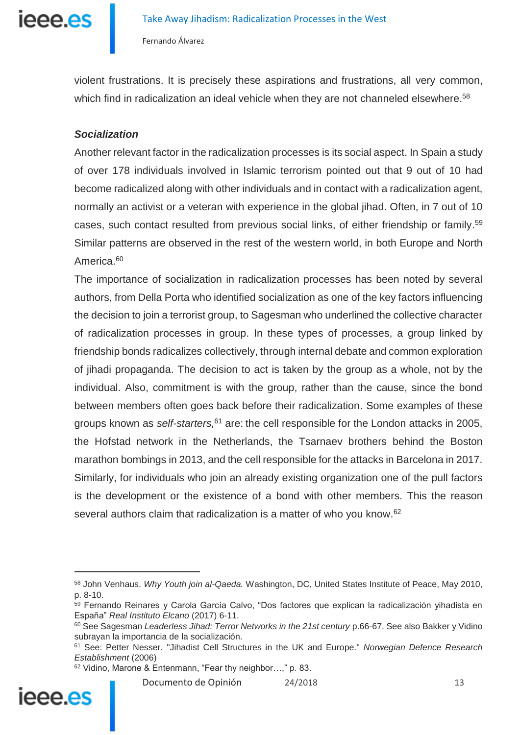

violent frustrations. It is precisely these aspirations and frustrations, all very common, which find in radicalization an ideal vehicle when they are not channeled elsewhere.<sup>58</sup>

#### *Socialization*

Another relevant factor in the radicalization processes is its social aspect. In Spain a study of over 178 individuals involved in Islamic terrorism pointed out that 9 out of 10 had become radicalized along with other individuals and in contact with a radicalization agent, normally an activist or a veteran with experience in the global jihad. Often, in 7 out of 10 cases, such contact resulted from previous social links, of either friendship or family. 59 Similar patterns are observed in the rest of the western world, in both Europe and North America.<sup>60</sup>

The importance of socialization in radicalization processes has been noted by several authors, from Della Porta who identified socialization as one of the key factors influencing the decision to join a terrorist group, to Sagesman who underlined the collective character of radicalization processes in group. In these types of processes, a group linked by friendship bonds radicalizes collectively, through internal debate and common exploration of jihadi propaganda. The decision to act is taken by the group as a whole, not by the individual. Also, commitment is with the group, rather than the cause, since the bond between members often goes back before their radicalization. Some examples of these groups known as *self-starters,*<sup>61</sup> are: the cell responsible for the London attacks in 2005, the Hofstad network in the Netherlands, the Tsarnaev brothers behind the Boston marathon bombings in 2013, and the cell responsible for the attacks in Barcelona in 2017. Similarly, for individuals who join an already existing organization one of the pull factors is the development or the existence of a bond with other members. This the reason several authors claim that radicalization is a matter of who you know.<sup>62</sup>

Documento de Opinión 24/2018 13



<sup>58</sup> John Venhaus. *Why Youth join al-Qaeda.* Washington, DC, United States Institute of Peace, May 2010, p. 8-10.

<sup>59</sup> Fernando Reinares y Carola García Calvo, "Dos factores que explican la radicalización yihadista en España" *Real Instituto Elcano* (2017) 6-11.

<sup>60</sup> See Sagesman *Leaderless Jihad: Terror Networks in the 21st century* p.66-67. See also Bakker y Vidino subrayan la importancia de la socialización.

<sup>61</sup> See: Petter Nesser. "Jihadist Cell Structures in the UK and Europe." *Norwegian Defence Research Establishment* (2006)

<sup>62</sup> Vidino, Marone & Entenmann, "Fear thy neighbor…," p. 83.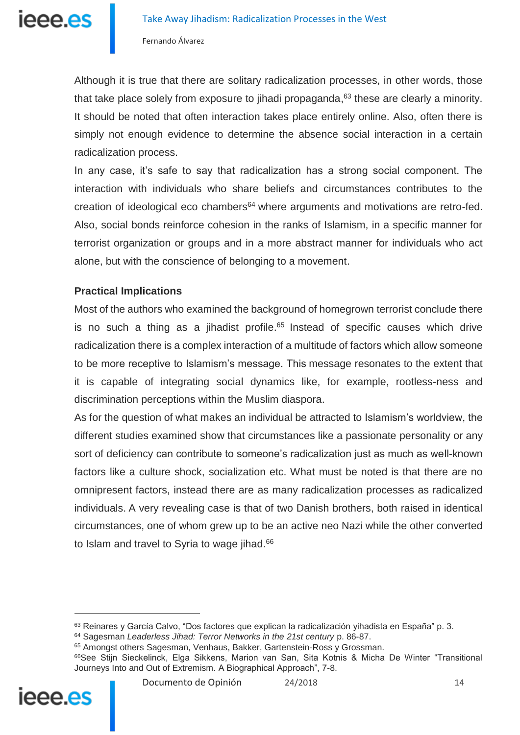Although it is true that there are solitary radicalization processes, in other words, those that take place solely from exposure to jihadi propaganda, <sup>63</sup> these are clearly a minority. It should be noted that often interaction takes place entirely online. Also, often there is simply not enough evidence to determine the absence social interaction in a certain radicalization process.

In any case, it's safe to say that radicalization has a strong social component. The interaction with individuals who share beliefs and circumstances contributes to the creation of ideological eco chambers<sup>64</sup> where arguments and motivations are retro-fed. Also, social bonds reinforce cohesion in the ranks of Islamism, in a specific manner for terrorist organization or groups and in a more abstract manner for individuals who act alone, but with the conscience of belonging to a movement.

#### **Practical Implications**

**.** 

ieee es

Most of the authors who examined the background of homegrown terrorist conclude there is no such a thing as a jihadist profile.<sup>65</sup> Instead of specific causes which drive radicalization there is a complex interaction of a multitude of factors which allow someone to be more receptive to Islamism's message. This message resonates to the extent that it is capable of integrating social dynamics like, for example, rootless-ness and discrimination perceptions within the Muslim diaspora.

As for the question of what makes an individual be attracted to Islamism's worldview, the different studies examined show that circumstances like a passionate personality or any sort of deficiency can contribute to someone's radicalization just as much as well-known factors like a culture shock, socialization etc. What must be noted is that there are no omnipresent factors, instead there are as many radicalization processes as radicalized individuals. A very revealing case is that of two Danish brothers, both raised in identical circumstances, one of whom grew up to be an active neo Nazi while the other converted to Islam and travel to Syria to wage jihad.<sup>66</sup>

<sup>66</sup>See Stijn Sieckelinck, Elga Sikkens, Marion van San, Sita Kotnis & Micha De Winter "Transitional Journeys Into and Out of Extremism. A Biographical Approach", 7-8.



<sup>63</sup> Reinares y García Calvo, "Dos factores que explican la radicalización yihadista en España" p. 3.

<sup>64</sup> Sagesman *Leaderless Jihad: Terror Networks in the 21st century* p. 86-87.

<sup>65</sup> Amongst others Sagesman, Venhaus, Bakker, Gartenstein-Ross y Grossman.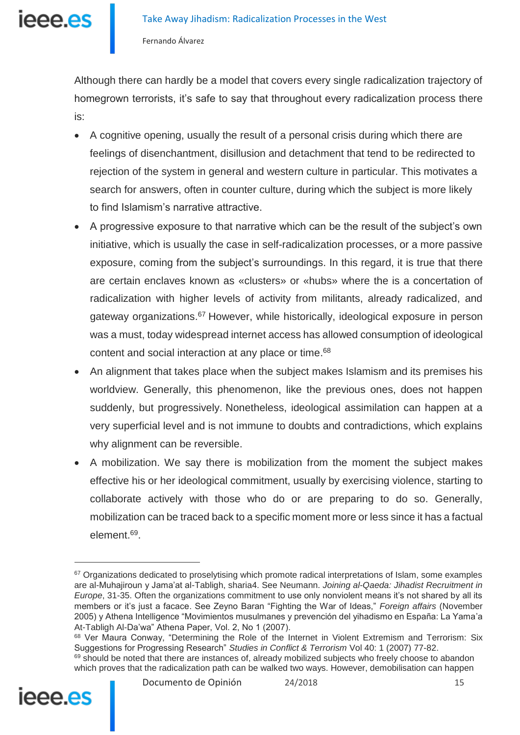

Although there can hardly be a model that covers every single radicalization trajectory of homegrown terrorists, it's safe to say that throughout every radicalization process there is:

- A cognitive opening, usually the result of a personal crisis during which there are feelings of disenchantment, disillusion and detachment that tend to be redirected to rejection of the system in general and western culture in particular. This motivates a search for answers, often in counter culture, during which the subject is more likely to find Islamism's narrative attractive.
- A progressive exposure to that narrative which can be the result of the subject's own initiative, which is usually the case in self-radicalization processes, or a more passive exposure, coming from the subject's surroundings. In this regard, it is true that there are certain enclaves known as «clusters» or «hubs» where the is a concertation of radicalization with higher levels of activity from militants, already radicalized, and gateway organizations. <sup>67</sup> However, while historically, ideological exposure in person was a must, today widespread internet access has allowed consumption of ideological content and social interaction at any place or time. 68
- An alignment that takes place when the subject makes Islamism and its premises his worldview. Generally, this phenomenon, like the previous ones, does not happen suddenly, but progressively. Nonetheless, ideological assimilation can happen at a very superficial level and is not immune to doubts and contradictions, which explains why alignment can be reversible.
- A mobilization. We say there is mobilization from the moment the subject makes effective his or her ideological commitment, usually by exercising violence, starting to collaborate actively with those who do or are preparing to do so. Generally, mobilization can be traced back to a specific moment more or less since it has a factual element.<sup>69</sup>.

which proves that the radicalization path can be walked two ways. However, demobilisation can happen



<sup>&</sup>lt;sup>67</sup> Organizations dedicated to proselytising which promote radical interpretations of Islam, some examples are al-Muhajiroun y Jama'at al-Tabligh, sharia4. See Neumann. *Joining al-Qaeda: Jihadist Recruitment in Europe*, 31-35. Often the organizations commitment to use only nonviolent means it's not shared by all its members or it's just a facace. See Zeyno Baran "Fighting the War of Ideas," *Foreign affairs* (November 2005) y Athena Intelligence "Movimientos musulmanes y prevención del yihadismo en España: La Yama'a At-Tabligh Al-Da'wa" Athena Paper, Vol. 2, No 1 (2007).

<sup>68</sup> Ver Maura Conway, "Determining the Role of the Internet in Violent Extremism and Terrorism: Six Suggestions for Progressing Research" *Studies in Conflict & Terrorism* Vol 40: 1 (2007) 77-82. <sup>69</sup> should be noted that there are instances of, already mobilized subjects who freely choose to abandon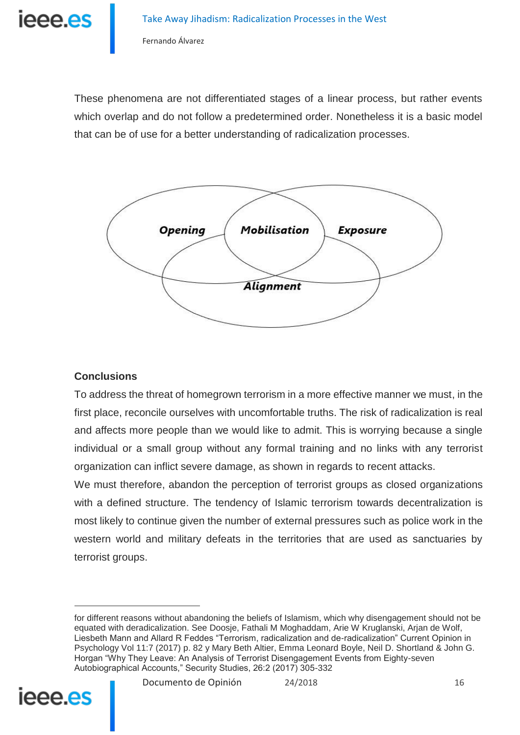

These phenomena are not differentiated stages of a linear process, but rather events which overlap and do not follow a predetermined order. Nonetheless it is a basic model that can be of use for a better understanding of radicalization processes.



#### **Conclusions**

To address the threat of homegrown terrorism in a more effective manner we must, in the first place, reconcile ourselves with uncomfortable truths. The risk of radicalization is real and affects more people than we would like to admit. This is worrying because a single individual or a small group without any formal training and no links with any terrorist organization can inflict severe damage, as shown in regards to recent attacks.

We must therefore, abandon the perception of terrorist groups as closed organizations with a defined structure. The tendency of Islamic terrorism towards decentralization is most likely to continue given the number of external pressures such as police work in the western world and military defeats in the territories that are used as sanctuaries by terrorist groups.

for different reasons without abandoning the beliefs of Islamism, which why disengagement should not be equated with deradicalization. See Doosje, Fathali M Moghaddam, Arie W Kruglanski, Arjan de Wolf, Liesbeth Mann and Allard R Feddes "Terrorism, radicalization and de-radicalization" Current Opinion in Psychology Vol 11:7 (2017) p. 82 y Mary Beth Altier, Emma Leonard Boyle, Neil D. Shortland & John G. Horgan "Why They Leave: An Analysis of Terrorist Disengagement Events from Eighty-seven Autobiographical Accounts," Security Studies, 26:2 (2017) 305-332

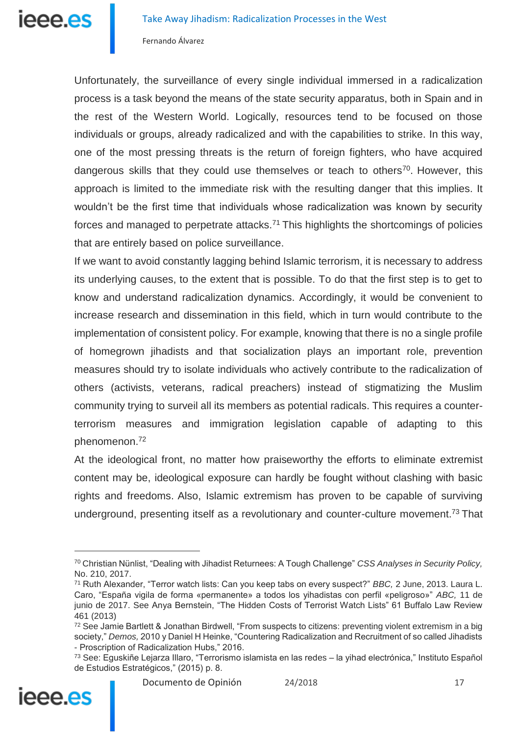

Unfortunately, the surveillance of every single individual immersed in a radicalization process is a task beyond the means of the state security apparatus, both in Spain and in the rest of the Western World. Logically, resources tend to be focused on those individuals or groups, already radicalized and with the capabilities to strike. In this way, one of the most pressing threats is the return of foreign fighters, who have acquired dangerous skills that they could use themselves or teach to others<sup>70</sup>. However, this approach is limited to the immediate risk with the resulting danger that this implies. It wouldn't be the first time that individuals whose radicalization was known by security forces and managed to perpetrate attacks.<sup>71</sup> This highlights the shortcomings of policies that are entirely based on police surveillance.

If we want to avoid constantly lagging behind Islamic terrorism, it is necessary to address its underlying causes, to the extent that is possible. To do that the first step is to get to know and understand radicalization dynamics. Accordingly, it would be convenient to increase research and dissemination in this field, which in turn would contribute to the implementation of consistent policy. For example, knowing that there is no a single profile of homegrown jihadists and that socialization plays an important role, prevention measures should try to isolate individuals who actively contribute to the radicalization of others (activists, veterans, radical preachers) instead of stigmatizing the Muslim community trying to surveil all its members as potential radicals. This requires a counterterrorism measures and immigration legislation capable of adapting to this phenomenon. 72

At the ideological front, no matter how praiseworthy the efforts to eliminate extremist content may be, ideological exposure can hardly be fought without clashing with basic rights and freedoms. Also, Islamic extremism has proven to be capable of surviving underground, presenting itself as a revolutionary and counter-culture movement.<sup>73</sup> That

<sup>73</sup> See: Eguskiñe Lejarza Illaro, "Terrorismo islamista en las redes – la yihad electrónica," Instituto Español de Estudios Estratégicos," (2015) p. 8.



<sup>70</sup> Christian Nünlist, "Dealing with Jihadist Returnees: A Tough Challenge" *CSS Analyses in Security Policy,*  No. 210, 2017.

<sup>71</sup> Ruth Alexander, "Terror watch lists: Can you keep tabs on every suspect?" *BBC,* 2 June, 2013. Laura L. Caro, "España vigila de forma «permanente» a todos los yihadistas con perfil «peligroso»" *ABC,* 11 de junio de 2017. See Anya Bernstein, "The Hidden Costs of Terrorist Watch Lists" 61 Buffalo Law Review 461 (2013)

<sup>72</sup> See Jamie Bartlett & Jonathan Birdwell, "From suspects to citizens: preventing violent extremism in a big society," *Demos,* 2010 y Daniel H Heinke, "Countering Radicalization and Recruitment of so called Jihadists - Proscription of Radicalization Hubs," 2016.